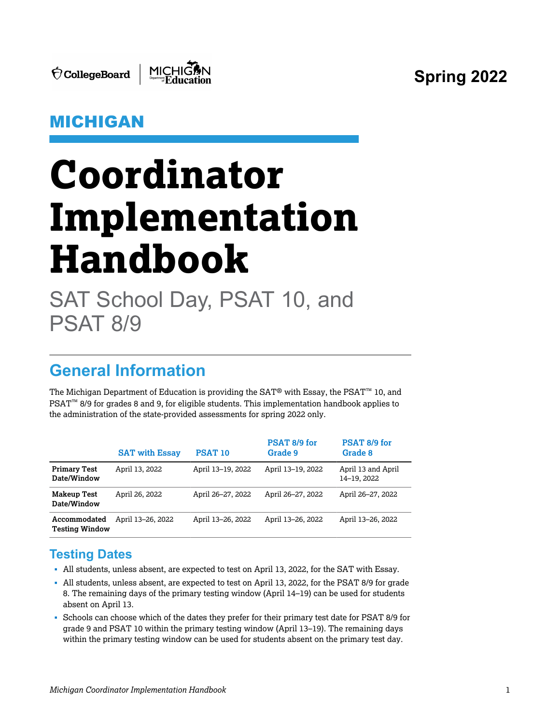**Spring 2022**

 $\acute{\nabla}$ CollegeBoard



### MICHIGAN

# **Coordinator Implementation Handbook**

SAT School Day, PSAT 10, and PSAT 8/9

# **General Information**

The Michigan Department of Education is providing the SAT® with Essay, the PSAT™ 10, and PSAT<sup>™</sup> 8/9 for grades 8 and 9, for eligible students. This implementation handbook applies to the administration of the state-provided assessments for spring 2022 only.

|                                       | <b>SAT with Essay</b> | <b>PSAT 10</b>    | PSAT 8/9 for<br>Grade 9 | PSAT 8/9 for<br>Grade 8           |
|---------------------------------------|-----------------------|-------------------|-------------------------|-----------------------------------|
| <b>Primary Test</b><br>Date/Window    | April 13, 2022        | April 13-19, 2022 | April 13-19, 2022       | April 13 and April<br>14-19, 2022 |
| <b>Makeup Test</b><br>Date/Window     | April 26, 2022        | April 26-27, 2022 | April 26-27, 2022       | April 26-27, 2022                 |
| Accommodated<br><b>Testing Window</b> | April 13-26, 2022     | April 13-26, 2022 | April 13-26, 2022       | April 13-26, 2022                 |

### **Testing Dates**

- § All students, unless absent, are expected to test on April 13, 2022, for the SAT with Essay.
- § All students, unless absent, are expected to test on April 13, 2022, for the PSAT 8/9 for grade 8. The remaining days of the primary testing window (April 14–19) can be used for students absent on April 13.
- § Schools can choose which of the dates they prefer for their primary test date for PSAT 8/9 for grade 9 and PSAT 10 within the primary testing window (April 13–19). The remaining days within the primary testing window can be used for students absent on the primary test day.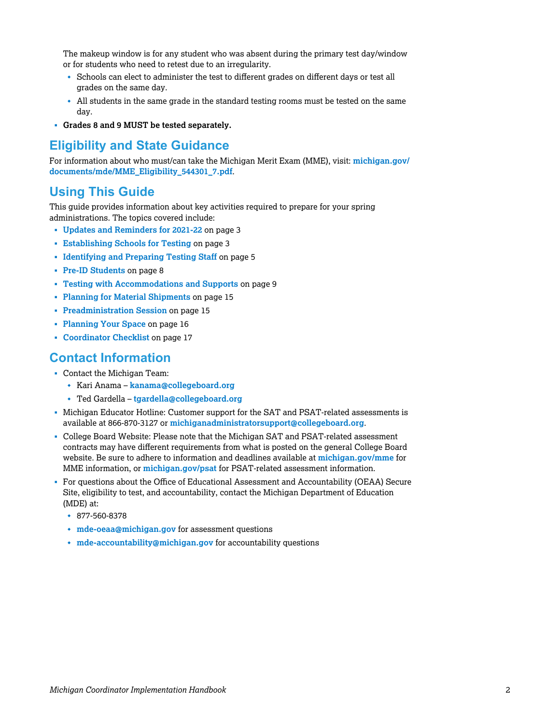The makeup window is for any student who was absent during the primary test day/window or for students who need to retest due to an irregularity.

- w Schools can elect to administer the test to different grades on different days or test all grades on the same day.
- \* All students in the same grade in the standard testing rooms must be tested on the same day.
- § **Grades 8 and 9 MUST be tested separately.**

#### **Eligibility and State Guidance**

[For information about who must/can take the Michigan Merit Exam \(MME\), visit:](https://www.michigan.gov/documents/mde/MME_Eligibility_544301_7.pdf) **michigan.gov/ documents/mde/MME\_Eligibility\_544301\_7.pdf**.

### **Using This Guide**

This guide provides information about key activities required to prepare for your spring administrations. The topics covered include:

- § **[Updates and Reminders for 2021-22](#page-2-0)** on page 3
- § **[Establishing Schools for Testing](#page-2-0)** on page 3
- § **[Identifying and Preparing Testing Staff](#page-4-0)** on page 5
- § **[Pre-ID Students](#page-7-0)** on page 8
- § **[Testing with Accommodations and Supports](#page-8-0)** on page 9
- § **[Planning for Material Shipments](#page-14-0)** on page 15
- § **[Preadministration Session](#page-14-0)** on page 15
- § **[Planning Your Space](#page-15-0)** on page 16
- § **[Coordinator Checklist](#page-16-0)** on page 17

### **Contact Information**

- § Contact the Michigan Team:
	- w Kari Anama **[kanama@collegeboard.org](mailto:kanama@collegeboard.org)**
	- w Ted Gardella **[tgardella@collegeboard.org](mailto:tgardella@collegeboard.org)**
- § Michigan Educator Hotline: Customer support for the SAT and PSAT-related assessments is available at 866-870-3127 or **[michiganadministratorsupport@collegeboard.org](mailto:michiganadministratorsupport@collegeboard.org)**.
- § College Board Website: Please note that the Michigan SAT and PSAT-related assessment contracts may have different requirements from what is posted on the general College Board website. Be sure to adhere to information and deadlines available at **[michigan.gov/mme](https://michigan.gov/mme)** for MME information, or **[michigan.gov/psat](https://michigan.gov/psat)** for PSAT-related assessment information.
- § For questions about the Office of Educational Assessment and Accountability (OEAA) Secure Site, eligibility to test, and accountability, contact the Michigan Department of Education (MDE) at:
	- $* 877 560 8378$
	- $\cdot$  [mde-oeaa@michigan.gov](mailto:mde-oeaa@michigan.gov) for assessment questions
	- **\*** [mde-accountability@michigan.gov](mailto:mde-accountability@michigan.gov) for accountability questions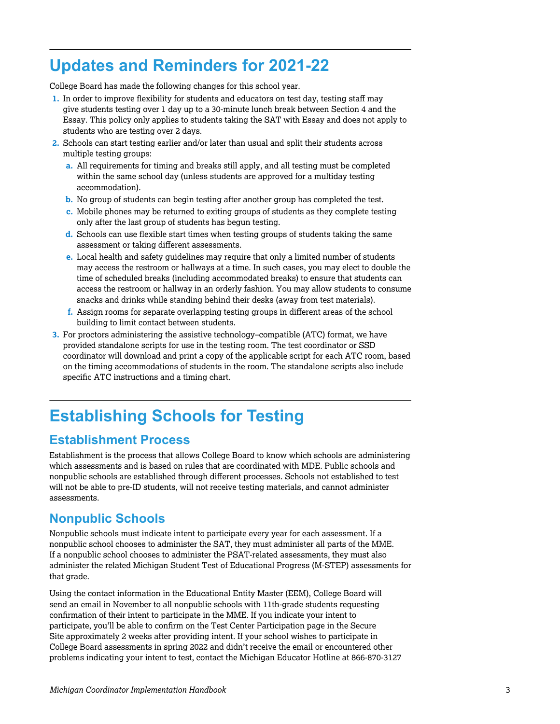## <span id="page-2-0"></span>**Updates and Reminders for 2021-22**

College Board has made the following changes for this school year.

- **1.** In order to improve flexibility for students and educators on test day, testing staff may give students testing over 1 day up to a 30-minute lunch break between Section 4 and the Essay. This policy only applies to students taking the SAT with Essay and does not apply to students who are testing over 2 days.
- **2.** Schools can start testing earlier and/or later than usual and split their students across multiple testing groups:
	- **a.** All requirements for timing and breaks still apply, and all testing must be completed within the same school day (unless students are approved for a multiday testing accommodation).
	- **b.** No group of students can begin testing after another group has completed the test.
	- **c.** Mobile phones may be returned to exiting groups of students as they complete testing only after the last group of students has begun testing.
	- **d.** Schools can use flexible start times when testing groups of students taking the same assessment or taking different assessments.
	- **e.** Local health and safety guidelines may require that only a limited number of students may access the restroom or hallways at a time. In such cases, you may elect to double the time of scheduled breaks (including accommodated breaks) to ensure that students can access the restroom or hallway in an orderly fashion. You may allow students to consume snacks and drinks while standing behind their desks (away from test materials).
	- **f.** Assign rooms for separate overlapping testing groups in different areas of the school building to limit contact between students.
- **3.** For proctors administering the assistive technology–compatible (ATC) format, we have provided standalone scripts for use in the testing room. The test coordinator or SSD coordinator will download and print a copy of the applicable script for each ATC room, based on the timing accommodations of students in the room. The standalone scripts also include specific ATC instructions and a timing chart.

# **Establishing Schools for Testing**

### **Establishment Process**

Establishment is the process that allows College Board to know which schools are administering which assessments and is based on rules that are coordinated with MDE. Public schools and nonpublic schools are established through different processes. Schools not established to test will not be able to pre-ID students, will not receive testing materials, and cannot administer assessments.

### **Nonpublic Schools**

Nonpublic schools must indicate intent to participate every year for each assessment. If a nonpublic school chooses to administer the SAT, they must administer all parts of the MME. If a nonpublic school chooses to administer the PSAT-related assessments, they must also administer the related Michigan Student Test of Educational Progress (M-STEP) assessments for that grade.

Using the contact information in the Educational Entity Master (EEM), College Board will send an email in November to all nonpublic schools with 11th-grade students requesting confirmation of their intent to participate in the MME. If you indicate your intent to participate, you'll be able to confirm on the Test Center Participation page in the Secure Site approximately 2 weeks after providing intent. If your school wishes to participate in College Board assessments in spring 2022 and didn't receive the email or encountered other problems indicating your intent to test, contact the Michigan Educator Hotline at 866-870-3127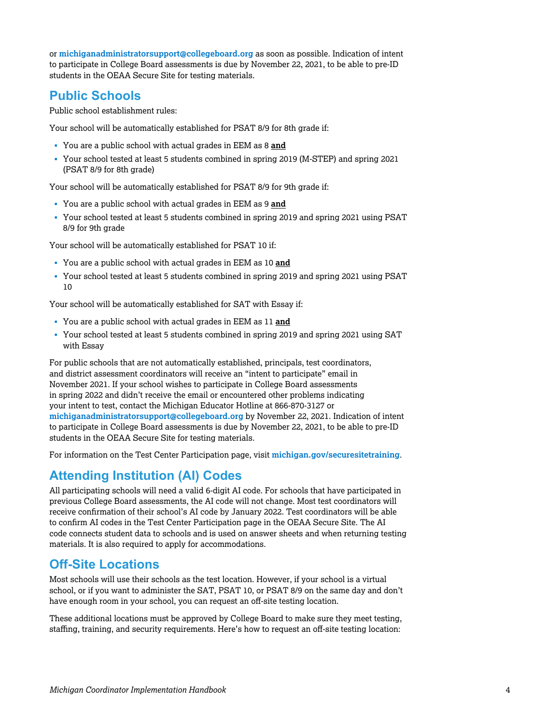or **[michiganadministratorsupport@collegeboard.org](mailto:michiganadministratorsupport@collegeboard.org)** as soon as possible. Indication of intent to participate in College Board assessments is due by November 22, 2021, to be able to pre-ID students in the OEAA Secure Site for testing materials.

### **Public Schools**

Public school establishment rules:

Your school will be automatically established for PSAT 8/9 for 8th grade if:

- § You are a public school with actual grades in EEM as 8 **and**
- § Your school tested at least 5 students combined in spring 2019 (M-STEP) and spring 2021 (PSAT 8/9 for 8th grade)

Your school will be automatically established for PSAT 8/9 for 9th grade if:

- § You are a public school with actual grades in EEM as 9 **and**
- § Your school tested at least 5 students combined in spring 2019 and spring 2021 using PSAT 8/9 for 9th grade

Your school will be automatically established for PSAT 10 if:

- § You are a public school with actual grades in EEM as 10 **and**
- § Your school tested at least 5 students combined in spring 2019 and spring 2021 using PSAT 10

Your school will be automatically established for SAT with Essay if:

- § You are a public school with actual grades in EEM as 11 **and**
- § Your school tested at least 5 students combined in spring 2019 and spring 2021 using SAT with Essay

For public schools that are not automatically established, principals, test coordinators, and district assessment coordinators will receive an "intent to participate" email in November 2021. If your school wishes to participate in College Board assessments in spring 2022 and didn't receive the email or encountered other problems indicating your intent to test, contact the Michigan Educator Hotline at 866-870-3127 or **[michiganadministratorsupport@collegeboard.org](mailto:michiganadministratorsupport@collegeboard.org)** by November 22, 2021. Indication of intent to participate in College Board assessments is due by November 22, 2021, to be able to pre-ID students in the OEAA Secure Site for testing materials.

For information on the Test Center Participation page, visit **[michigan.gov/securesitetraining](http://www.michigan.gov/securesitetraining)**.

### **Attending Institution (AI) Codes**

All participating schools will need a valid 6-digit AI code. For schools that have participated in previous College Board assessments, the AI code will not change. Most test coordinators will receive confirmation of their school's AI code by January 2022. Test coordinators will be able to confirm AI codes in the Test Center Participation page in the OEAA Secure Site. The AI code connects student data to schools and is used on answer sheets and when returning testing materials. It is also required to apply for accommodations.

### **Off-Site Locations**

Most schools will use their schools as the test location. However, if your school is a virtual school, or if you want to administer the SAT, PSAT 10, or PSAT 8/9 on the same day and don't have enough room in your school, you can request an off-site testing location.

These additional locations must be approved by College Board to make sure they meet testing, staffing, training, and security requirements. Here's how to request an off-site testing location: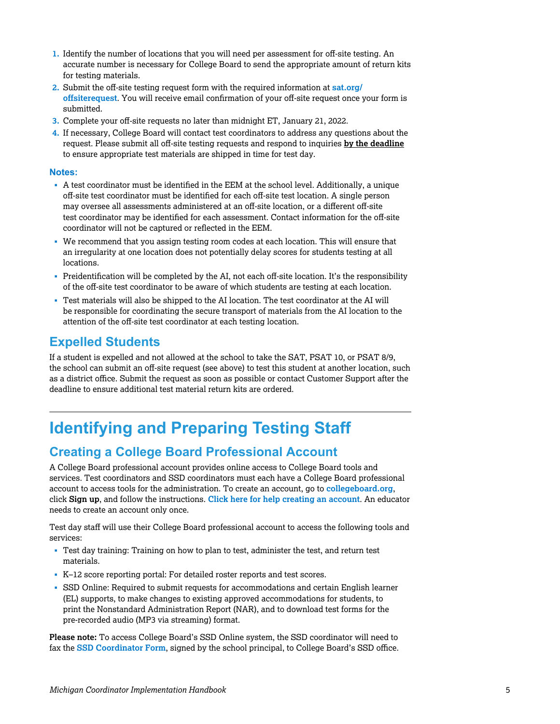- <span id="page-4-0"></span>**1.** Identify the number of locations that you will need per assessment for off-site testing. An accurate number is necessary for College Board to send the appropriate amount of return kits for testing materials.
- **2.** [Submit the off-site testing request form with the required information at](http://www.sat.org/offsiterequest) **sat.org/ offsiterequest**. You will receive email confirmation of your off-site request once your form is submitted.
- **3.** Complete your off-site requests no later than midnight ET, January 21, 2022.
- **4.** If necessary, College Board will contact test coordinators to address any questions about the request. Please submit all off-site testing requests and respond to inquiries **by the deadline**  to ensure appropriate test materials are shipped in time for test day.

#### **Notes:**

- § A test coordinator must be identified in the EEM at the school level. Additionally, a unique off-site test coordinator must be identified for each off-site test location. A single person may oversee all assessments administered at an off-site location, or a different off-site test coordinator may be identified for each assessment. Contact information for the off-site coordinator will not be captured or reflected in the EEM.
- § We recommend that you assign testing room codes at each location. This will ensure that an irregularity at one location does not potentially delay scores for students testing at all locations.
- § Preidentification will be completed by the AI, not each off-site location. It's the responsibility of the off-site test coordinator to be aware of which students are testing at each location.
- Test materials will also be shipped to the AI location. The test coordinator at the AI will be responsible for coordinating the secure transport of materials from the AI location to the attention of the off-site test coordinator at each testing location.

### **Expelled Students**

If a student is expelled and not allowed at the school to take the SAT, PSAT 10, or PSAT 8/9, the school can submit an off-site request (see above) to test this student at another location, such as a district office. Submit the request as soon as possible or contact Customer Support after the deadline to ensure additional test material return kits are ordered.

# **Identifying and Preparing Testing Staff**

### **Creating a College Board Professional Account**

A College Board professional account provides online access to College Board tools and services. Test coordinators and SSD coordinators must each have a College Board professional account to access tools for the administration. To create an account, go to **[collegeboard.org](http://collegeboard.org)**, click **Sign up**, and follow the instructions. **[Click here for help creating an account](https://pages.collegeboard.org/)**. An educator needs to create an account only once.

Test day staff will use their College Board professional account to access the following tools and services:

- Test day training: Training on how to plan to test, administer the test, and return test materials.
- § K–12 score reporting portal: For detailed roster reports and test scores.
- § SSD Online: Required to submit requests for accommodations and certain English learner (EL) supports, to make changes to existing approved accommodations for students, to print the Nonstandard Administration Report (NAR), and to download test forms for the pre-recorded audio (MP3 via streaming) format.

**Please note:** To access College Board's SSD Online system, the SSD coordinator will need to fax the **[SSD Coordinator Form](https://www.collegeboard.org/pdf/ssd/ssd-coordinator.pdf)**, signed by the school principal, to College Board's SSD office.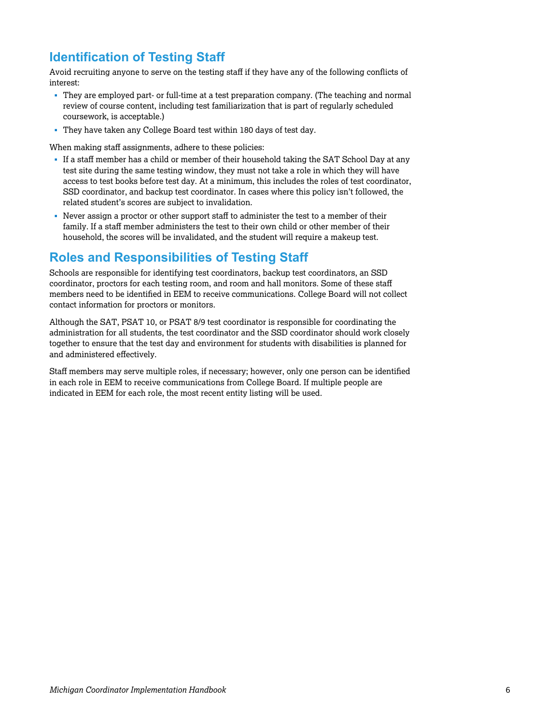### **Identification of Testing Staff**

Avoid recruiting anyone to serve on the testing staff if they have any of the following conflicts of interest:

- § They are employed part- or full-time at a test preparation company. (The teaching and normal review of course content, including test familiarization that is part of regularly scheduled coursework, is acceptable.)
- § They have taken any College Board test within 180 days of test day.

When making staff assignments, adhere to these policies:

- § If a staff member has a child or member of their household taking the SAT School Day at any test site during the same testing window, they must not take a role in which they will have access to test books before test day. At a minimum, this includes the roles of test coordinator, SSD coordinator, and backup test coordinator. In cases where this policy isn't followed, the related student's scores are subject to invalidation.
- Never assign a proctor or other support staff to administer the test to a member of their family. If a staff member administers the test to their own child or other member of their household, the scores will be invalidated, and the student will require a makeup test.

### **Roles and Responsibilities of Testing Staff**

Schools are responsible for identifying test coordinators, backup test coordinators, an SSD coordinator, proctors for each testing room, and room and hall monitors. Some of these staff members need to be identified in EEM to receive communications. College Board will not collect contact information for proctors or monitors.

Although the SAT, PSAT 10, or PSAT 8/9 test coordinator is responsible for coordinating the administration for all students, the test coordinator and the SSD coordinator should work closely together to ensure that the test day and environment for students with disabilities is planned for and administered effectively.

Staff members may serve multiple roles, if necessary; however, only one person can be identified in each role in EEM to receive communications from College Board. If multiple people are indicated in EEM for each role, the most recent entity listing will be used.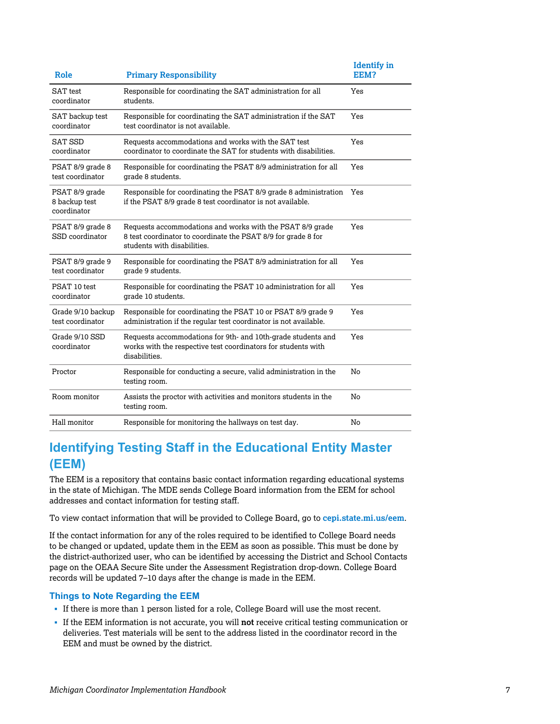| Role                                           | <b>Primary Responsibility</b>                                                                                                                             | <b>Identify</b> in<br>EEM? |
|------------------------------------------------|-----------------------------------------------------------------------------------------------------------------------------------------------------------|----------------------------|
| <b>SAT</b> test<br>coordinator                 | Responsible for coordinating the SAT administration for all<br>students.                                                                                  | Yes                        |
| SAT backup test<br>coordinator                 | Responsible for coordinating the SAT administration if the SAT<br>test coordinator is not available.                                                      | Yes                        |
| <b>SAT SSD</b><br>coordinator                  | Requests accommodations and works with the SAT test<br>coordinator to coordinate the SAT for students with disabilities.                                  | Yes                        |
| PSAT 8/9 grade 8<br>test coordinator           | Responsible for coordinating the PSAT 8/9 administration for all<br>grade 8 students.                                                                     | Yes                        |
| PSAT 8/9 grade<br>8 backup test<br>coordinator | Responsible for coordinating the PSAT 8/9 grade 8 administration<br>if the PSAT 8/9 grade 8 test coordinator is not available.                            | Yes                        |
| PSAT 8/9 grade 8<br>SSD coordinator            | Requests accommodations and works with the PSAT 8/9 grade<br>8 test coordinator to coordinate the PSAT 8/9 for grade 8 for<br>students with disabilities. | Yes                        |
| PSAT 8/9 grade 9<br>test coordinator           | Responsible for coordinating the PSAT 8/9 administration for all<br>grade 9 students.                                                                     | Yes                        |
| PSAT 10 test<br>coordinator                    | Responsible for coordinating the PSAT 10 administration for all<br>grade 10 students.                                                                     | Yes                        |
| Grade 9/10 backup<br>test coordinator          | Responsible for coordinating the PSAT 10 or PSAT 8/9 grade 9<br>administration if the regular test coordinator is not available.                          | Yes                        |
| Grade 9/10 SSD<br>coordinator                  | Requests accommodations for 9th- and 10th-grade students and<br>works with the respective test coordinators for students with<br>disabilities.            | Yes                        |
| Proctor                                        | Responsible for conducting a secure, valid administration in the<br>testing room.                                                                         | No                         |
| Room monitor                                   | Assists the proctor with activities and monitors students in the<br>testing room.                                                                         | No                         |
| Hall monitor                                   | Responsible for monitoring the hallways on test day.                                                                                                      | No                         |

### **Identifying Testing Staff in the Educational Entity Master (EEM)**

The EEM is a repository that contains basic contact information regarding educational systems in the state of Michigan. The MDE sends College Board information from the EEM for school addresses and contact information for testing staff.

To view contact information that will be provided to College Board, go to **[cepi.state.mi.us/eem](https://cepi.state.mi.us/eem/)**.

If the contact information for any of the roles required to be identified to College Board needs to be changed or updated, update them in the EEM as soon as possible. This must be done by the district-authorized user, who can be identified by accessing the District and School Contacts page on the OEAA Secure Site under the Assessment Registration drop-down. College Board records will be updated 7–10 days after the change is made in the EEM.

#### **Things to Note Regarding the EEM**

- § If there is more than 1 person listed for a role, College Board will use the most recent.
- § If the EEM information is not accurate, you will **not** receive critical testing communication or deliveries. Test materials will be sent to the address listed in the coordinator record in the EEM and must be owned by the district.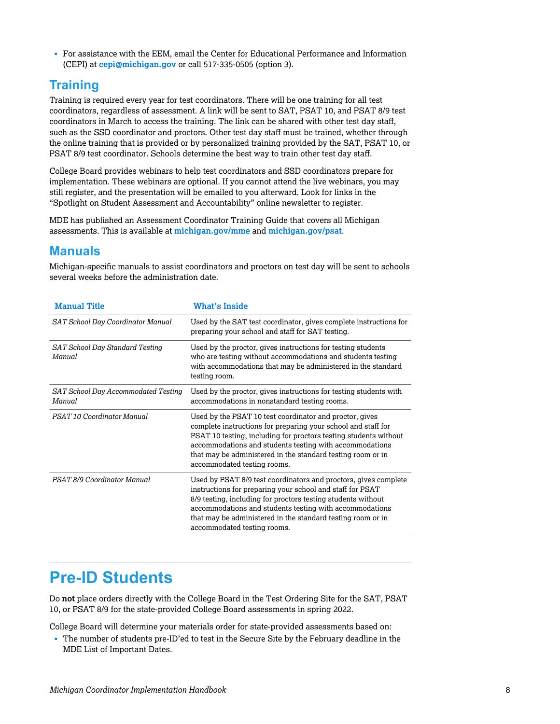<span id="page-7-0"></span>§ For assistance with the EEM, email the Center for Educational Performance and Information (CEPI) at **[cepi@michigan.gov](mailto:cepi@michigan.gov)** or call 517-335-0505 (option 3).

### **Training**

Training is required every year for test coordinators. There will be one training for all test coordinators, regardless of assessment. A link will be sent to SAT, PSAT 10, and PSAT 8/9 test coordinators in March to access the training. The link can be shared with other test day staff, such as the SSD coordinator and proctors. Other test day staff must be trained, whether through the online training that is provided or by personalized training provided by the SAT, PSAT 10, or PSAT 8/9 test coordinator. Schools determine the best way to train other test day staff.

College Board provides webinars to help test coordinators and SSD coordinators prepare for implementation. These webinars are optional. If you cannot attend the live webinars, you may still register, and the presentation will be emailed to you afterward. Look for links in the "Spotlight on Student Assessment and Accountability" online newsletter to register.

MDE has published an Assessment Coordinator Training Guide that covers all Michigan assessments. This is available at **[michigan.gov/mme](http://www.michigan.gov/mme)** and **[michigan.gov/psat](http://www.michigan.gov/psat)**.

### **Manuals**

Michigan-specific manuals to assist coordinators and proctors on test day will be sent to schools several weeks before the administration date.

| <b>Manual Title</b>                           | <b>What's Inside</b>                                                                                                                                                                                                                                                                                                                                  |
|-----------------------------------------------|-------------------------------------------------------------------------------------------------------------------------------------------------------------------------------------------------------------------------------------------------------------------------------------------------------------------------------------------------------|
| SAT School Day Coordinator Manual             | Used by the SAT test coordinator, gives complete instructions for<br>preparing your school and staff for SAT testing.                                                                                                                                                                                                                                 |
| SAT School Day Standard Testing<br>Manual     | Used by the proctor, gives instructions for testing students<br>who are testing without accommodations and students testing<br>with accommodations that may be administered in the standard<br>testing room.                                                                                                                                          |
| SAT School Day Accommodated Testing<br>Manual | Used by the proctor, gives instructions for testing students with<br>accommodations in nonstandard testing rooms.                                                                                                                                                                                                                                     |
| PSAT 10 Coordinator Manual                    | Used by the PSAT 10 test coordinator and proctor, gives<br>complete instructions for preparing your school and staff for<br>PSAT 10 testing, including for proctors testing students without<br>accommodations and students testing with accommodations<br>that may be administered in the standard testing room or in<br>accommodated testing rooms. |
| PSAT 8/9 Coordinator Manual                   | Used by PSAT 8/9 test coordinators and proctors, gives complete<br>instructions for preparing your school and staff for PSAT<br>8/9 testing, including for proctors testing students without<br>accommodations and students testing with accommodations<br>that may be administered in the standard testing room or in<br>accommodated testing rooms. |

### **Pre-ID Students**

Do **not** place orders directly with the College Board in the Test Ordering Site for the SAT, PSAT 10, or PSAT 8/9 for the state-provided College Board assessments in spring 2022.

College Board will determine your materials order for state-provided assessments based on:

§ The number of students pre-ID'ed to test in the Secure Site by the February deadline in the MDE List of Important Dates.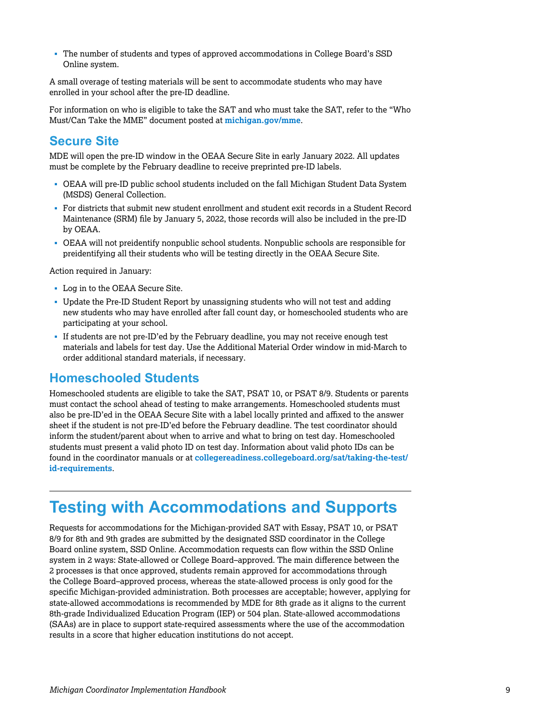<span id="page-8-0"></span>§ The number of students and types of approved accommodations in College Board's SSD Online system.

A small overage of testing materials will be sent to accommodate students who may have enrolled in your school after the pre-ID deadline.

For information on who is eligible to take the SAT and who must take the SAT, refer to the "Who Must/Can Take the MME" document posted at **[michigan.gov/mme](http://michigan.gov/mme)**.

### **Secure Site**

MDE will open the pre-ID window in the OEAA Secure Site in early January 2022. All updates must be complete by the February deadline to receive preprinted pre-ID labels.

- § OEAA will pre-ID public school students included on the fall Michigan Student Data System (MSDS) General Collection.
- § For districts that submit new student enrollment and student exit records in a Student Record Maintenance (SRM) file by January 5, 2022, those records will also be included in the pre-ID by OEAA.
- § OEAA will not preidentify nonpublic school students. Nonpublic schools are responsible for preidentifying all their students who will be testing directly in the OEAA Secure Site.

Action required in January:

- § Log in to the OEAA Secure Site.
- § Update the Pre-ID Student Report by unassigning students who will not test and adding new students who may have enrolled after fall count day, or homeschooled students who are participating at your school.
- § If students are not pre-ID'ed by the February deadline, you may not receive enough test materials and labels for test day. Use the Additional Material Order window in mid-March to order additional standard materials, if necessary.

#### **Homeschooled Students**

Homeschooled students are eligible to take the SAT, PSAT 10, or PSAT 8/9. Students or parents must contact the school ahead of testing to make arrangements. Homeschooled students must also be pre-ID'ed in the OEAA Secure Site with a label locally printed and affixed to the answer sheet if the student is not pre-ID'ed before the February deadline. The test coordinator should inform the student/parent about when to arrive and what to bring on test day. Homeschooled students must present a valid photo ID on test day. Information about valid photo IDs can be found in the coordinator manuals or at **[collegereadiness.collegeboard.org/sat/taking-the-test/](https://collegereadiness.collegeboard.org/sat/taking-the-test/id-requirements) id-requirements**.

### **Testing with Accommodations and Supports**

Requests for accommodations for the Michigan-provided SAT with Essay, PSAT 10, or PSAT 8/9 for 8th and 9th grades are submitted by the designated SSD coordinator in the College Board online system, SSD Online. Accommodation requests can flow within the SSD Online system in 2 ways: State-allowed or College Board–approved. The main difference between the 2 processes is that once approved, students remain approved for accommodations through the College Board–approved process, whereas the state-allowed process is only good for the specific Michigan-provided administration. Both processes are acceptable; however, applying for state-allowed accommodations is recommended by MDE for 8th grade as it aligns to the current 8th-grade Individualized Education Program (IEP) or 504 plan. State-allowed accommodations (SAAs) are in place to support state-required assessments where the use of the accommodation results in a score that higher education institutions do not accept.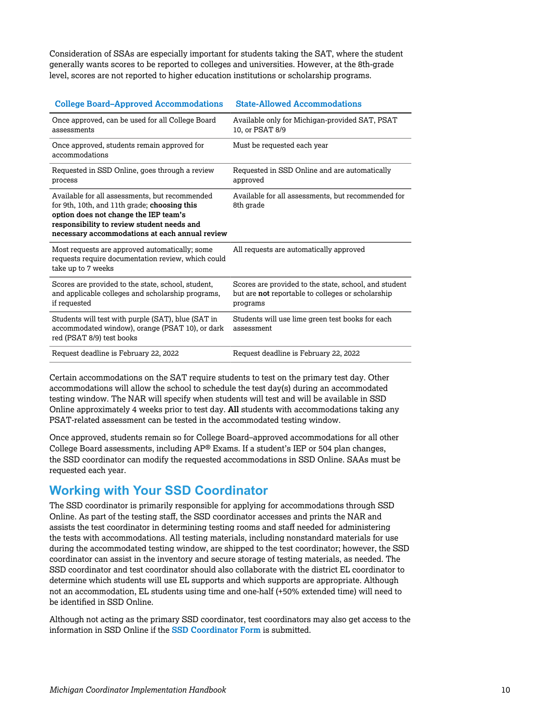Consideration of SSAs are especially important for students taking the SAT, where the student generally wants scores to be reported to colleges and universities. However, at the 8th-grade level, scores are not reported to higher education institutions or scholarship programs.

| Conege Board-Approved Accommodations                                                                                                                                                                                                    | State-Allowed Accommodations                                                                                                  |
|-----------------------------------------------------------------------------------------------------------------------------------------------------------------------------------------------------------------------------------------|-------------------------------------------------------------------------------------------------------------------------------|
| Once approved, can be used for all College Board<br>assessments                                                                                                                                                                         | Available only for Michigan-provided SAT, PSAT<br>10, or PSAT 8/9                                                             |
| Once approved, students remain approved for<br>accommodations                                                                                                                                                                           | Must be requested each year                                                                                                   |
| Requested in SSD Online, goes through a review<br>process                                                                                                                                                                               | Requested in SSD Online and are automatically<br>approved                                                                     |
| Available for all assessments, but recommended<br>for 9th, 10th, and 11th grade; choosing this<br>option does not change the IEP team's<br>responsibility to review student needs and<br>necessary accommodations at each annual review | Available for all assessments, but recommended for<br>8th grade                                                               |
| Most requests are approved automatically; some<br>requests require documentation review, which could<br>take up to 7 weeks                                                                                                              | All requests are automatically approved                                                                                       |
| Scores are provided to the state, school, student,<br>and applicable colleges and scholarship programs,<br>if requested                                                                                                                 | Scores are provided to the state, school, and student<br>but are <b>not</b> reportable to colleges or scholarship<br>programs |
| Students will test with purple (SAT), blue (SAT in<br>accommodated window), orange (PSAT 10), or dark<br>red (PSAT 8/9) test books                                                                                                      | Students will use lime green test books for each<br>assessment                                                                |
| Request deadline is February 22, 2022                                                                                                                                                                                                   | Request deadline is February 22, 2022                                                                                         |
|                                                                                                                                                                                                                                         |                                                                                                                               |

#### **College Board–Approved Accommodations State-Allowed Accommodations**

Certain accommodations on the SAT require students to test on the primary test day. Other accommodations will allow the school to schedule the test day(s) during an accommodated testing window. The NAR will specify when students will test and will be available in SSD Online approximately 4 weeks prior to test day. **All** students with accommodations taking any PSAT-related assessment can be tested in the accommodated testing window.

Once approved, students remain so for College Board–approved accommodations for all other College Board assessments, including AP® Exams. If a student's IEP or 504 plan changes, the SSD coordinator can modify the requested accommodations in SSD Online. SAAs must be requested each year.

### **Working with Your SSD Coordinator**

The SSD coordinator is primarily responsible for applying for accommodations through SSD Online. As part of the testing staff, the SSD coordinator accesses and prints the NAR and assists the test coordinator in determining testing rooms and staff needed for administering the tests with accommodations. All testing materials, including nonstandard materials for use during the accommodated testing window, are shipped to the test coordinator; however, the SSD coordinator can assist in the inventory and secure storage of testing materials, as needed. The SSD coordinator and test coordinator should also collaborate with the district EL coordinator to determine which students will use EL supports and which supports are appropriate. Although not an accommodation, EL students using time and one-half (+50% extended time) will need to be identified in SSD Online.

Although not acting as the primary SSD coordinator, test coordinators may also get access to the information in SSD Online if the **[SSD Coordinator Form](https://www.collegeboard.org/pdf/ssd/ssd-coordinator.pdf)** is submitted.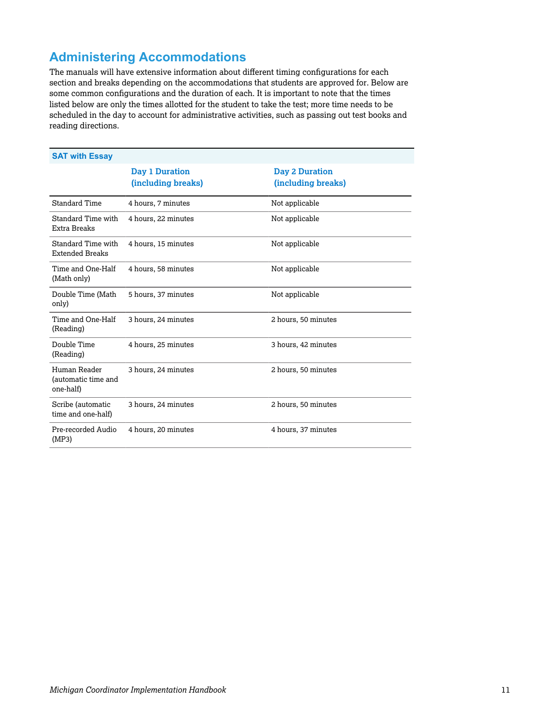### **Administering Accommodations**

The manuals will have extensive information about different timing configurations for each section and breaks depending on the accommodations that students are approved for. Below are some common configurations and the duration of each. It is important to note that the times listed below are only the times allotted for the student to take the test; more time needs to be scheduled in the day to account for administrative activities, such as passing out test books and reading directions.

| <b>SAT with Essay</b>                            |                                             |                                             |
|--------------------------------------------------|---------------------------------------------|---------------------------------------------|
|                                                  | <b>Day 1 Duration</b><br>(including breaks) | <b>Day 2 Duration</b><br>(including breaks) |
| Standard Time                                    | 4 hours, 7 minutes                          | Not applicable                              |
| Standard Time with<br>Extra Breaks               | 4 hours, 22 minutes                         | Not applicable                              |
| Standard Time with<br><b>Extended Breaks</b>     | 4 hours, 15 minutes                         | Not applicable                              |
| Time and One-Half<br>(Math only)                 | 4 hours, 58 minutes                         | Not applicable                              |
| Double Time (Math<br>only)                       | 5 hours, 37 minutes                         | Not applicable                              |
| Time and One-Half<br>(Reading)                   | 3 hours, 24 minutes                         | 2 hours, 50 minutes                         |
| Double Time<br>(Reading)                         | 4 hours, 25 minutes                         | 3 hours, 42 minutes                         |
| Human Reader<br>(automatic time and<br>one-half) | 3 hours, 24 minutes                         | 2 hours, 50 minutes                         |
| Scribe (automatic<br>time and one-half)          | 3 hours, 24 minutes                         | 2 hours, 50 minutes                         |
| Pre-recorded Audio<br>(MP3)                      | 4 hours, 20 minutes                         | 4 hours, 37 minutes                         |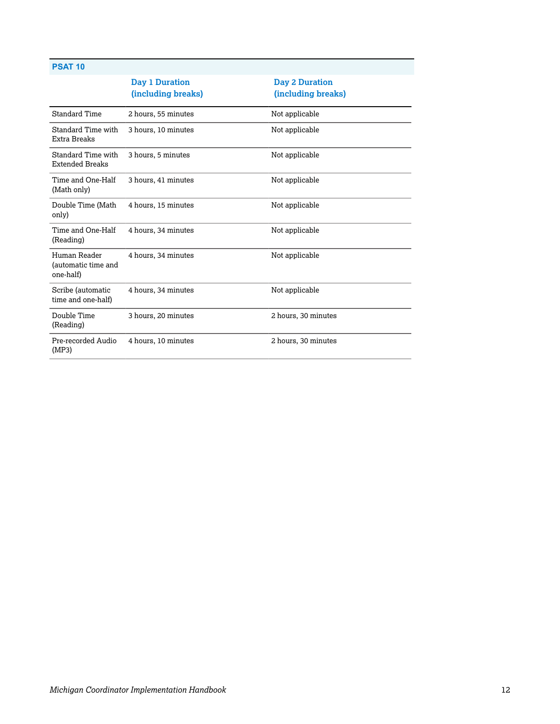#### **PSAT 10**

| Day 1 Duration<br>(including breaks) | <b>Day 2 Duration</b><br>(including breaks) |
|--------------------------------------|---------------------------------------------|
| 2 hours, 55 minutes                  | Not applicable                              |
| 3 hours, 10 minutes                  | Not applicable                              |
| 3 hours, 5 minutes                   | Not applicable                              |
| 3 hours, 41 minutes                  | Not applicable                              |
| 4 hours, 15 minutes                  | Not applicable                              |
| 4 hours, 34 minutes                  | Not applicable                              |
| 4 hours, 34 minutes                  | Not applicable                              |
| 4 hours, 34 minutes                  | Not applicable                              |
| 3 hours, 20 minutes                  | 2 hours, 30 minutes                         |
| 4 hours, 10 minutes                  | 2 hours, 30 minutes                         |
|                                      |                                             |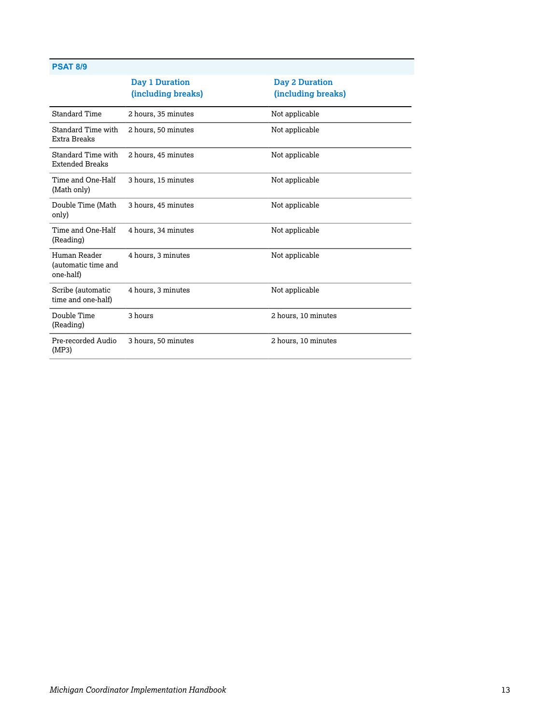#### **PSAT 8/9**

| Day 1 Duration<br>(including breaks) | <b>Day 2 Duration</b><br>(including breaks) |
|--------------------------------------|---------------------------------------------|
| 2 hours, 35 minutes                  | Not applicable                              |
| 2 hours, 50 minutes                  | Not applicable                              |
| 2 hours, 45 minutes                  | Not applicable                              |
| 3 hours, 15 minutes                  | Not applicable                              |
| 3 hours, 45 minutes                  | Not applicable                              |
| 4 hours, 34 minutes                  | Not applicable                              |
| 4 hours, 3 minutes                   | Not applicable                              |
| 4 hours, 3 minutes                   | Not applicable                              |
| 3 hours                              | 2 hours, 10 minutes                         |
| 3 hours, 50 minutes                  | 2 hours, 10 minutes                         |
|                                      |                                             |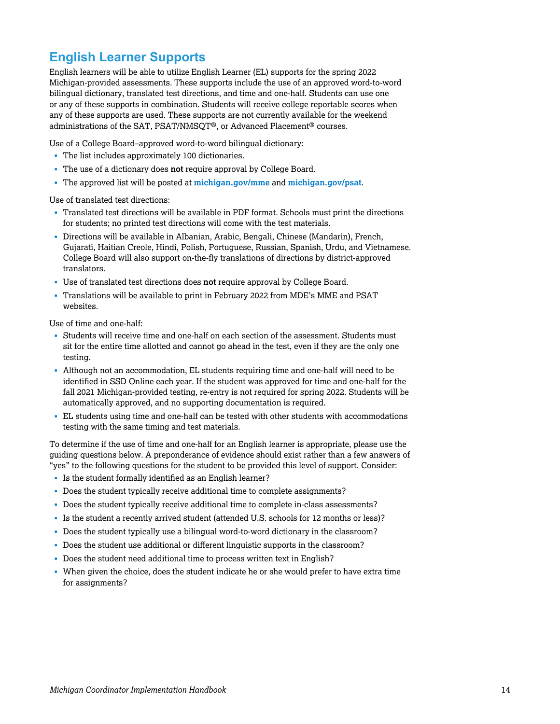### **English Learner Supports**

English learners will be able to utilize English Learner (EL) supports for the spring 2022 Michigan-provided assessments. These supports include the use of an approved word-to-word bilingual dictionary, translated test directions, and time and one-half. Students can use one or any of these supports in combination. Students will receive college reportable scores when any of these supports are used. These supports are not currently available for the weekend administrations of the SAT, PSAT/NMSQT®, or Advanced Placement® courses.

Use of a College Board–approved word-to-word bilingual dictionary:

- § The list includes approximately 100 dictionaries.
- § The use of a dictionary does **not** require approval by College Board.
- § The approved list will be posted at **[michigan.gov/mme](http://michigan.gov/mme)** and **[michigan.gov/psat](http://michigan.gov/psat)**.

Use of translated test directions:

- § Translated test directions will be available in PDF format. Schools must print the directions for students; no printed test directions will come with the test materials.
- § Directions will be available in Albanian, Arabic, Bengali, Chinese (Mandarin), French, Gujarati, Haitian Creole, Hindi, Polish, Portuguese, Russian, Spanish, Urdu, and Vietnamese. College Board will also support on-the-fly translations of directions by district-approved translators.
- § Use of translated test directions does **not** require approval by College Board.
- § Translations will be available to print in February 2022 from MDE's MME and PSAT websites.

Use of time and one-half:

- § Students will receive time and one-half on each section of the assessment. Students must sit for the entire time allotted and cannot go ahead in the test, even if they are the only one testing.
- § Although not an accommodation, EL students requiring time and one-half will need to be identified in SSD Online each year. If the student was approved for time and one-half for the fall 2021 Michigan-provided testing, re-entry is not required for spring 2022. Students will be automatically approved, and no supporting documentation is required.
- § EL students using time and one-half can be tested with other students with accommodations testing with the same timing and test materials.

To determine if the use of time and one-half for an English learner is appropriate, please use the guiding questions below. A preponderance of evidence should exist rather than a few answers of "yes" to the following questions for the student to be provided this level of support. Consider:

- § Is the student formally identified as an English learner?
- § Does the student typically receive additional time to complete assignments?
- § Does the student typically receive additional time to complete in-class assessments?
- § Is the student a recently arrived student (attended U.S. schools for 12 months or less)?
- § Does the student typically use a bilingual word-to-word dictionary in the classroom?
- § Does the student use additional or different linguistic supports in the classroom?
- Does the student need additional time to process written text in English?
- When given the choice, does the student indicate he or she would prefer to have extra time for assignments?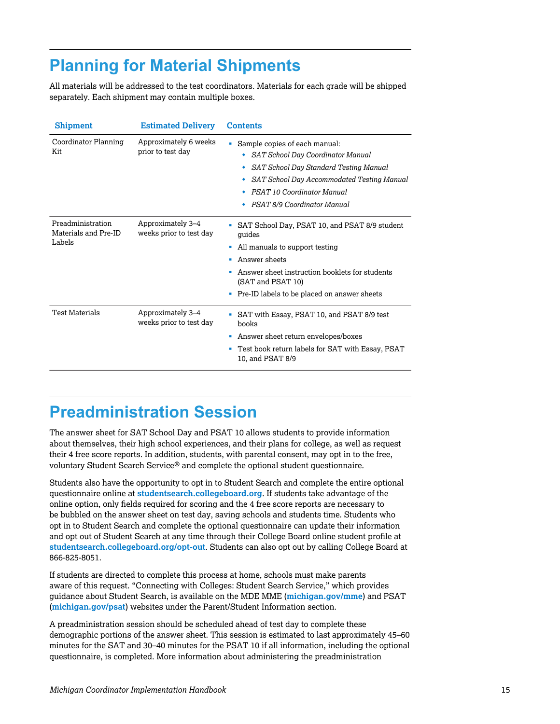# <span id="page-14-0"></span>**Planning for Material Shipments**

All materials will be addressed to the test coordinators. Materials for each grade will be shipped separately. Each shipment may contain multiple boxes.

| <b>Shipment</b>                                     | <b>Estimated Delivery</b>                    | <b>Contents</b>                                                                                                                                                                                                                          |
|-----------------------------------------------------|----------------------------------------------|------------------------------------------------------------------------------------------------------------------------------------------------------------------------------------------------------------------------------------------|
| Coordinator Planning<br>Kit                         | Approximately 6 weeks<br>prior to test day   | Sample copies of each manual:<br><b>SAT School Day Coordinator Manual</b><br>SAT School Day Standard Testing Manual<br>٠<br>SAT School Day Accommodated Testing Manual<br>٠<br>PSAT 10 Coordinator Manual<br>PSAT 8/9 Coordinator Manual |
| Preadministration<br>Materials and Pre-ID<br>Labels | Approximately 3-4<br>weeks prior to test day | SAT School Day, PSAT 10, and PSAT 8/9 student<br>quides<br>All manuals to support testing<br>٠<br>Answer sheets<br>Answer sheet instruction booklets for students<br>(SAT and PSAT 10)<br>Pre-ID labels to be placed on answer sheets    |
| <b>Test Materials</b>                               | Approximately 3-4<br>weeks prior to test day | SAT with Essay, PSAT 10, and PSAT 8/9 test<br>books<br>Answer sheet return envelopes/boxes<br>ш<br>Test book return labels for SAT with Essay, PSAT<br>10, and PSAT 8/9                                                                  |

### **Preadministration Session**

The answer sheet for SAT School Day and PSAT 10 allows students to provide information about themselves, their high school experiences, and their plans for college, as well as request their 4 free score reports. In addition, students, with parental consent, may opt in to the free, voluntary Student Search Service® and complete the optional student questionnaire.

Students also have the opportunity to opt in to Student Search and complete the entire optional questionnaire online at **[studentsearch.collegeboard.org](http://studentsearch.collegeboard.org)**. If students take advantage of the online option, only fields required for scoring and the 4 free score reports are necessary to be bubbled on the answer sheet on test day, saving schools and students time. Students who opt in to Student Search and complete the optional questionnaire can update their information and opt out of Student Search at any time through their College Board online student profile at **[studentsearch.collegeboard.org/opt-out](http://studentsearch.collegeboard.org/opt-out)**. Students can also opt out by calling College Board at 866-825-8051.

If students are directed to complete this process at home, schools must make parents aware of this request. "Connecting with Colleges: Student Search Service," which provides guidance about Student Search, is available on the MDE MME (**[michigan.gov/mme](http://www.michigan.gov/mme)**) and PSAT (**[michigan.gov/psat](http://www.michigan.gov/psat)**) websites under the Parent/Student Information section.

A preadministration session should be scheduled ahead of test day to complete these demographic portions of the answer sheet. This session is estimated to last approximately 45–60 minutes for the SAT and 30–40 minutes for the PSAT 10 if all information, including the optional questionnaire, is completed. More information about administering the preadministration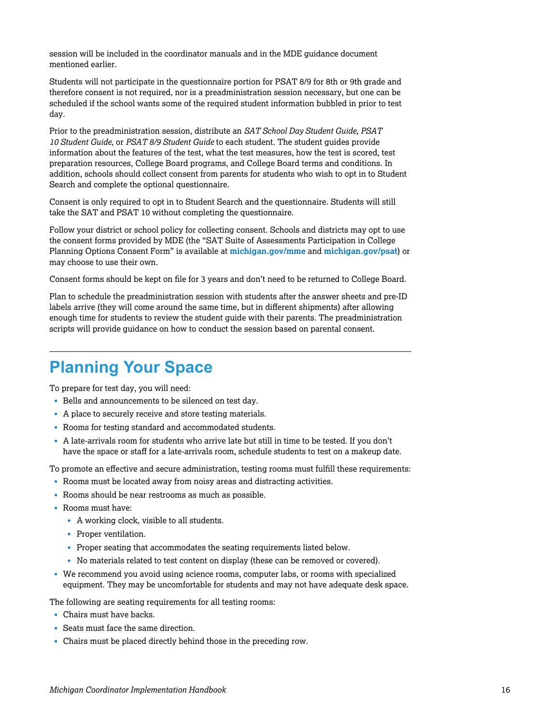<span id="page-15-0"></span>session will be included in the coordinator manuals and in the MDE guidance document mentioned earlier.

Students will not participate in the questionnaire portion for PSAT 8/9 for 8th or 9th grade and therefore consent is not required, nor is a preadministration session necessary, but one can be scheduled if the school wants some of the required student information bubbled in prior to test day.

Prior to the preadministration session, distribute an *SAT School Day Student Guide*, *PSAT 10 Student Guide*, or *PSAT 8/9 Student Guide* to each student. The student guides provide information about the features of the test, what the test measures, how the test is scored, test preparation resources, College Board programs, and College Board terms and conditions. In addition, schools should collect consent from parents for students who wish to opt in to Student Search and complete the optional questionnaire.

Consent is only required to opt in to Student Search and the questionnaire. Students will still take the SAT and PSAT 10 without completing the questionnaire.

Follow your district or school policy for collecting consent. Schools and districts may opt to use the consent forms provided by MDE (the "SAT Suite of Assessments Participation in College Planning Options Consent Form" is available at **[michigan.gov/mme](http://michigan.gov/mme)** and **[michigan.gov/psat](http://michigan.gov/psat)**) or may choose to use their own.

Consent forms should be kept on file for 3 years and don't need to be returned to College Board.

Plan to schedule the preadministration session with students after the answer sheets and pre-ID labels arrive (they will come around the same time, but in different shipments) after allowing enough time for students to review the student guide with their parents. The preadministration scripts will provide guidance on how to conduct the session based on parental consent.

### **Planning Your Space**

To prepare for test day, you will need:

- § Bells and announcements to be silenced on test day.
- § A place to securely receive and store testing materials.
- § Rooms for testing standard and accommodated students.
- § A late-arrivals room for students who arrive late but still in time to be tested. If you don't have the space or staff for a late-arrivals room, schedule students to test on a makeup date.

To promote an effective and secure administration, testing rooms must fulfill these requirements:

- § Rooms must be located away from noisy areas and distracting activities.
- § Rooms should be near restrooms as much as possible.
- § Rooms must have:
	- A working clock, visible to all students.
	- $\cdot$  Proper ventilation.
	- Proper seating that accommodates the seating requirements listed below.
	- w No materials related to test content on display (these can be removed or covered).
- § We recommend you avoid using science rooms, computer labs, or rooms with specialized equipment. They may be uncomfortable for students and may not have adequate desk space.

The following are seating requirements for all testing rooms:

- Chairs must have backs.
- § Seats must face the same direction.
- Chairs must be placed directly behind those in the preceding row.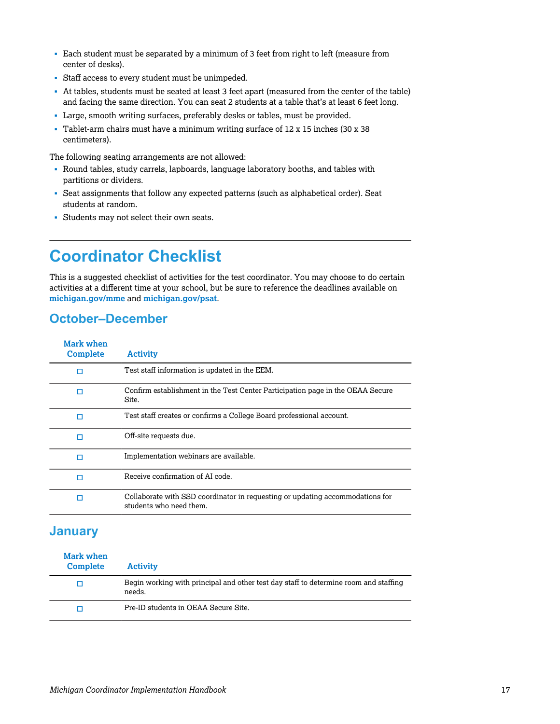- <span id="page-16-0"></span>§ Each student must be separated by a minimum of 3 feet from right to left (measure from center of desks).
- § Staff access to every student must be unimpeded.
- § At tables, students must be seated at least 3 feet apart (measured from the center of the table) and facing the same direction. You can seat 2 students at a table that's at least 6 feet long.
- § Large, smooth writing surfaces, preferably desks or tables, must be provided.
- § Tablet-arm chairs must have a minimum writing surface of 12 x 15 inches (30 x 38 centimeters).

The following seating arrangements are not allowed:

- § Round tables, study carrels, lapboards, language laboratory booths, and tables with partitions or dividers.
- Seat assignments that follow any expected patterns (such as alphabetical order). Seat students at random.
- § Students may not select their own seats.

# **Coordinator Checklist**

This is a suggested checklist of activities for the test coordinator. You may choose to do certain activities at a different time at your school, but be sure to reference the deadlines available on **[michigan.gov/mme](http://www.michigan.gov/mme)** and **[michigan.gov/psat](http://www.michigan.gov/psat)**.

### **October–December**

| Mark when<br><b>Complete</b> | <b>Activity</b>                                                                                          |
|------------------------------|----------------------------------------------------------------------------------------------------------|
| п                            | Test staff information is updated in the EEM.                                                            |
| п                            | Confirm establishment in the Test Center Participation page in the OEAA Secure<br>Site.                  |
| п                            | Test staff creates or confirms a College Board professional account.                                     |
| п                            | Off-site requests due.                                                                                   |
| п                            | Implementation webinars are available.                                                                   |
| п                            | Receive confirmation of AI code.                                                                         |
| п                            | Collaborate with SSD coordinator in requesting or updating accommodations for<br>students who need them. |

### **January**

| Mark when<br><b>Complete</b> | <b>Activity</b>                                                                                |
|------------------------------|------------------------------------------------------------------------------------------------|
| п                            | Begin working with principal and other test day staff to determine room and staffing<br>needs. |
| п                            | Pre-ID students in OEAA Secure Site.                                                           |